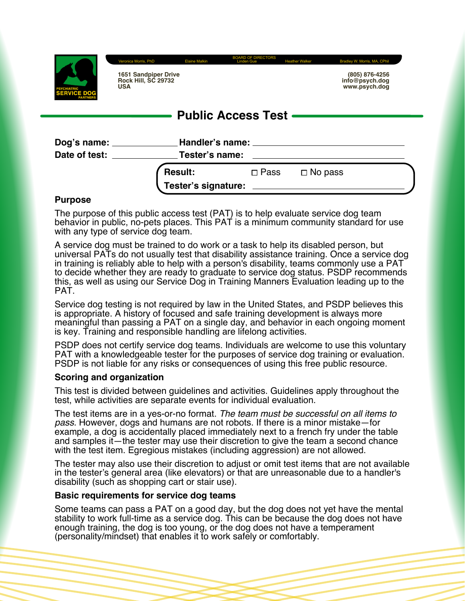

**1651 Sandpiper Drive Rock Hill, SC 29732 USA**

|                | (805) 876-4256 |
|----------------|----------------|
|                |                |
| info@psych.dog |                |
|                |                |
| www.psych.dog  |                |

# **Public Access Test**

BOARD OF DIRECTORS Veronica Morris, PhD Elaine Malkin Linden Gue Heather Walker Bradley W. Morris, MA, CPhil

| Dog's name:<br>Date of test: | Handler's name: ________<br>Tester's name: |                |                |  |
|------------------------------|--------------------------------------------|----------------|----------------|--|
|                              | <b>Result:</b>                             | $\square$ Pass | $\Box$ No pass |  |
|                              | Tester's signature:                        |                |                |  |

#### **Purpose**

The purpose of this public access test (PAT) is to help evaluate service dog team behavior in public, no-pets places. This PAT is a minimum community standard for use with any type of service dog team.

A service dog must be trained to do work or a task to help its disabled person, but universal PATs do not usually test that disability assistance training. Once a service dog in training is reliably able to help with a person's disability, teams commonly use a PAT to decide whether they are ready to graduate to service dog status. PSDP recommends this, as well as using our Service Dog in Training Manners Evaluation leading up to the PAT.

Service dog testing is not required by law in the United States, and PSDP believes this is appropriate. A history of focused and safe training development is always more meaningful than passing a PAT on a single day, and behavior in each ongoing moment is key. Training and responsible handling are lifelong activities.

PSDP does not certify service dog teams. Individuals are welcome to use this voluntary PAT with a knowledgeable tester for the purposes of service dog training or evaluation. PSDP is not liable for any risks or consequences of using this free public resource.

#### **Scoring and organization**

This test is divided between guidelines and activities. Guidelines apply throughout the test, while activities are separate events for individual evaluation.

The test items are in a yes-or-no format. *The team must be successful on all items to pass.* However, dogs and humans are not robots. If there is a minor mistake—for example, a dog is accidentally placed immediately next to a french fry under the table and samples it—the tester may use their discretion to give the team a second chance with the test item. Egregious mistakes (including aggression) are not allowed.

The tester may also use their discretion to adjust or omit test items that are not available in the tester's general area (like elevators) or that are unreasonable due to a handler's disability (such as shopping cart or stair use).

#### **Basic requirements for service dog teams**

Some teams can pass a PAT on a good day, but the dog does not yet have the mental stability to work full-time as a service dog. This can be because the dog does not have enough training, the dog is too young, or the dog does not have a temperament (personality/mindset) that enables it to work safely or comfortably.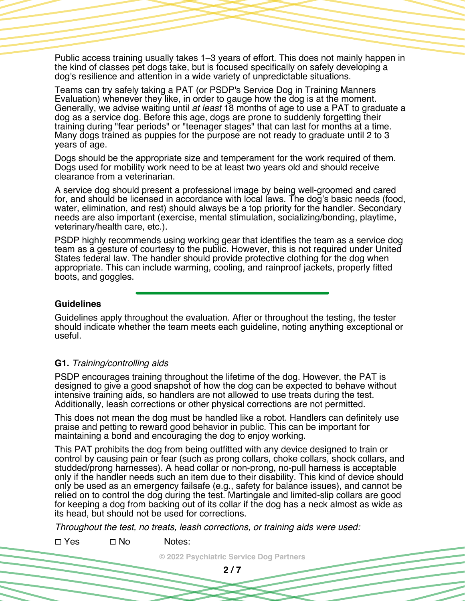Public access training usually takes 1–3 years of effort. This does not mainly happen in the kind of classes pet dogs take, but is focused specifically on safely developing a dog's resilience and attention in a wide variety of unpredictable situations.

Teams can try safely taking a PAT (or PSDP's Service Dog in Training Manners Evaluation) whenever they like, in order to gauge how the dog is at the moment. Generally, we advise waiting until *at least* 18 months of age to use a PAT to graduate a dog as a service dog. Before this age, dogs are prone to suddenly forgetting their training during "fear periods" or "teenager stages" that can last for months at a time. Many dogs trained as puppies for the purpose are not ready to graduate until 2 to 3 years of age.

Dogs should be the appropriate size and temperament for the work required of them. Dogs used for mobility work need to be at least two years old and should receive clearance from a veterinarian.

A service dog should present a professional image by being well-groomed and cared for, and should be licensed in accordance with local laws. The dog's basic needs (food, water, elimination, and rest) should always be a top priority for the handler. Secondary needs are also important (exercise, mental stimulation, socializing/bonding, playtime, veterinary/health care, etc.).

PSDP highly recommends using working gear that identifies the team as a service dog team as a gesture of courtesy to the public. However, this is not required under United States federal law. The handler should provide protective clothing for the dog when appropriate. This can include warming, cooling, and rainproof jackets, properly fitted boots, and goggles.

#### **Guidelines**

Guidelines apply throughout the evaluation. After or throughout the testing, the tester should indicate whether the team meets each guideline, noting anything exceptional or useful.

#### **G1.** *Training/controlling aids*

PSDP encourages training throughout the lifetime of the dog. However, the PAT is designed to give a good snapshot of how the dog can be expected to behave without intensive training aids, so handlers are not allowed to use treats during the test. Additionally, leash corrections or other physical corrections are not permitted.

This does not mean the dog must be handled like a robot. Handlers can definitely use praise and petting to reward good behavior in public. This can be important for maintaining a bond and encouraging the dog to enjoy working.

This PAT prohibits the dog from being outfitted with any device designed to train or control by causing pain or fear (such as prong collars, choke collars, shock collars, and studded/prong harnesses). A head collar or non-prong, no-pull harness is acceptable only if the handler needs such an item due to their disability. This kind of device should only be used as an emergency failsafe (e.g., safety for balance issues), and cannot be relied on to control the dog during the test. Martingale and limited-slip collars are good for keeping a dog from backing out of its collar if the dog has a neck almost as wide as its head, but should not be used for corrections.

*Throughout the test, no treats, leash corrections, or training aids were used:*

 $\square$  Yes  $\square$  No Notes:

**© 2022 Psychiatric Service Dog Partners**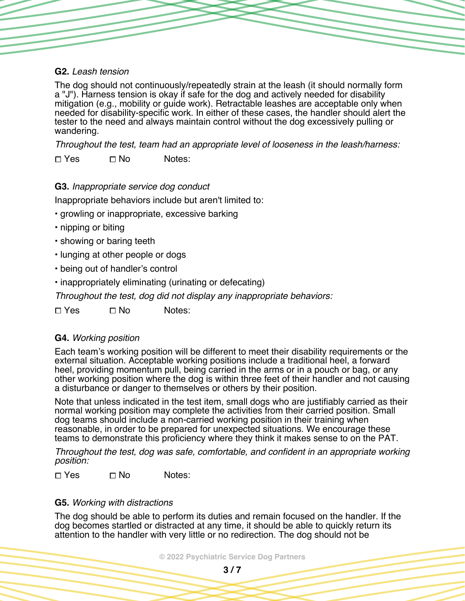## **G2.** *Leash tension*

The dog should not continuously/repeatedly strain at the leash (it should normally form a "J"). Harness tension is okay if safe for the dog and actively needed for disability mitigation (e.g., mobility or guide work). Retractable leashes are acceptable only when needed for disability-specific work. In either of these cases, the handler should alert the tester to the need and always maintain control without the dog excessively pulling or wandering.

*Throughout the test, team had an appropriate level of looseness in the leash/harness:*

 $\square$  Yes  $\square$  No Notes:

# **G3.** *Inappropriate service dog conduct*

Inappropriate behaviors include but aren't limited to:

- growling or inappropriate, excessive barking
- nipping or biting
- showing or baring teeth
- lunging at other people or dogs
- being out of handler's control
- inappropriately eliminating (urinating or defecating)

*Throughout the test, dog did not display any inappropriate behaviors:*

 $\Box$  Yes  $\Box$  No Notes:

# **G4.** *Working position*

Each team's working position will be different to meet their disability requirements or the external situation. Acceptable working positions include a traditional heel, a forward heel, providing momentum pull, being carried in the arms or in a pouch or bag, or any other working position where the dog is within three feet of their handler and not causing a disturbance or danger to themselves or others by their position.

Note that unless indicated in the test item, small dogs who are justifiably carried as their normal working position may complete the activities from their carried position. Small dog teams should include a non-carried working position in their training when reasonable, in order to be prepared for unexpected situations. We encourage these teams to demonstrate this proficiency where they think it makes sense to on the PAT.

*Throughout the test, dog was safe, comfortable, and confident in an appropriate working position:*

 $\Box$  Yes  $\Box$  No Notes:

## **G5.** *Working with distractions*

The dog should be able to perform its duties and remain focused on the handler. If the dog becomes startled or distracted at any time, it should be able to quickly return its attention to the handler with very little or no redirection. The dog should not be

**© 2022 Psychiatric Service Dog Partners**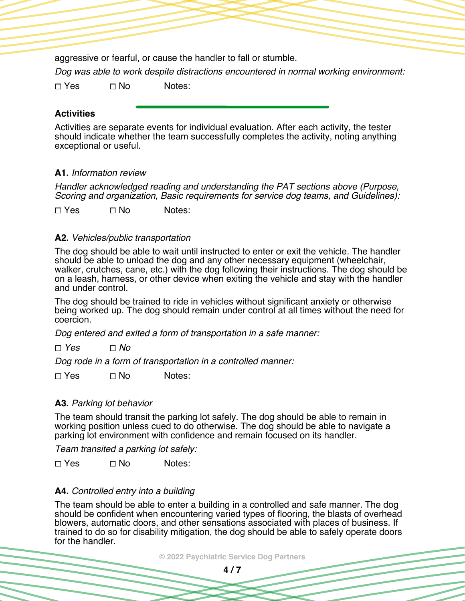aggressive or fearful, or cause the handler to fall or stumble.

*Dog was able to work despite distractions encountered in normal working environment:*

 $\Box$  Yes  $\Box$  No Notes:

# **Activities**

Activities are separate events for individual evaluation. After each activity, the tester should indicate whether the team successfully completes the activity, noting anything exceptional or useful.

# **A1.** *Information review*

*Handler acknowledged reading and understanding the PAT sections above (Purpose, Scoring and organization, Basic requirements for service dog teams, and Guidelines):*

 $\Box$  Yes  $\Box$  No Notes:

## **A2.** *Vehicles/public transportation*

The dog should be able to wait until instructed to enter or exit the vehicle. The handler should be able to unload the dog and any other necessary equipment (wheelchair, walker, crutches, cane, etc.) with the dog following their instructions. The dog should be on a leash, harness, or other device when exiting the vehicle and stay with the handler and under control.

The dog should be trained to ride in vehicles without significant anxiety or otherwise being worked up. The dog should remain under control at all times without the need for coercion.

*Dog entered and exited a form of transportation in a safe manner:*

*Yes No*

*Dog rode in a form of transportation in a controlled manner:*

 $\square$  Yes  $\square$  No Notes:

## **A3.** *Parking lot behavior*

The team should transit the parking lot safely. The dog should be able to remain in working position unless cued to do otherwise. The dog should be able to navigate a parking lot environment with confidence and remain focused on its handler.

*Team transited a parking lot safely:*

 $\square$  Yes  $\square$  No Notes:

# **A4.** *Controlled entry into a building*

The team should be able to enter a building in a controlled and safe manner. The dog should be confident when encountering varied types of flooring, the blasts of overhead blowers, automatic doors, and other sensations associated with places of business. If trained to do so for disability mitigation, the dog should be able to safely operate doors for the handler.

**© 2022 Psychiatric Service Dog Partners**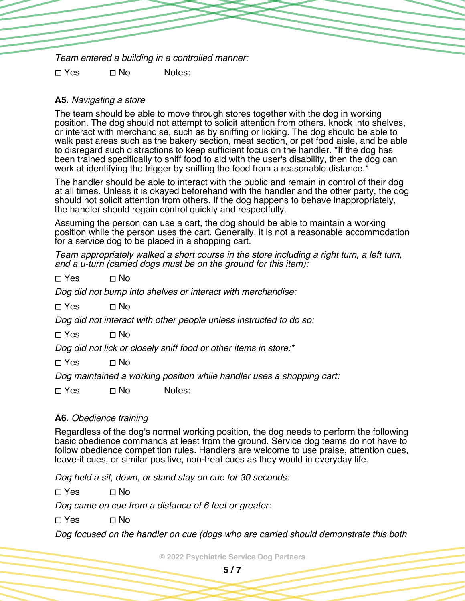*Team entered a building in a controlled manner:*

 $\Box$  Yes  $\Box$  No Notes:

# **A5.** *Navigating a store*

The team should be able to move through stores together with the dog in working position. The dog should not attempt to solicit attention from others, knock into shelves, or interact with merchandise, such as by sniffing or licking. The dog should be able to walk past areas such as the bakery section, meat section, or pet food aisle, and be able to disregard such distractions to keep sufficient focus on the handler. \*If the dog has been trained specifically to sniff food to aid with the user's disability, then the dog can work at identifying the trigger by sniffing the food from a reasonable distance.<sup>\*</sup>

The handler should be able to interact with the public and remain in control of their dog at all times. Unless it is okayed beforehand with the handler and the other party, the dog should not solicit attention from others. If the dog happens to behave inappropriately, the handler should regain control quickly and respectfully.

Assuming the person can use a cart, the dog should be able to maintain a working position while the person uses the cart. Generally, it is not a reasonable accommodation for a service dog to be placed in a shopping cart.

*Team appropriately walked a short course in the store including a right turn, a left turn, and a u-turn (carried dogs must be on the ground for this item):*

 $\Box$  Yes  $\Box$  No

*Dog did not bump into shelves or interact with merchandise:*

 $\Box$  Yes  $\Box$  No

*Dog did not interact with other people unless instructed to do so:*

 $\Box$  Yes  $\Box$  No

*Dog did not lick or closely sniff food or other items in store:\**

 $\Box$  Yes  $\Box$  No

*Dog maintained a working position while handler uses a shopping cart:*

 $\Box$  Yes  $\Box$  No Notes:

## **A6.** *Obedience training*

Regardless of the dog's normal working position, the dog needs to perform the following basic obedience commands at least from the ground. Service dog teams do not have to follow obedience competition rules. Handlers are welcome to use praise, attention cues, leave-it cues, or similar positive, non-treat cues as they would in everyday life.

*Dog held a sit, down, or stand stay on cue for 30 seconds:*

 $\Box$  Yes  $\Box$  No

*Dog came on cue from a distance of 6 feet or greater:*

 $\Box$  Yes  $\Box$  No

*Dog focused on the handler on cue (dogs who are carried should demonstrate this both*

**© 2022 Psychiatric Service Dog Partners**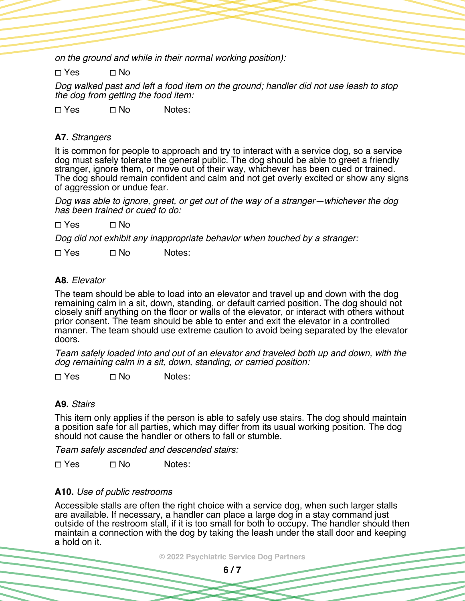*on the ground and while in their normal working position):*

 $\Box$  Yes  $\Box$  No

*Dog walked past and left a food item on the ground; handler did not use leash to stop the dog from getting the food item:*

 $\square$  Yes  $\square$  No Notes:

#### **A7.** *Strangers*

It is common for people to approach and try to interact with a service dog, so a service dog must safely tolerate the general public. The dog should be able to greet a friendly stranger, ignore them, or move out of their way, whichever has been cued or trained. The dog should remain confident and calm and not get overly excited or show any signs of aggression or undue fear.

*Dog was able to ignore, greet, or get out of the way of a stranger—whichever the dog has been trained or cued to do:*

 $\Box$  Yes  $\Box$  No

*Dog did not exhibit any inappropriate behavior when touched by a stranger:*

 $\Box$  Yes  $\Box$  No Notes:

#### **A8.** *Elevator*

The team should be able to load into an elevator and travel up and down with the dog remaining calm in a sit, down, standing, or default carried position. The dog should not closely sniff anything on the floor or walls of the elevator, or interact with others without prior consent. The team should be able to enter and exit the elevator in a controlled manner. The team should use extreme caution to avoid being separated by the elevator doors.

*Team safely loaded into and out of an elevator and traveled both up and down, with the dog remaining calm in a sit, down, standing, or carried position:*

 $\Box$  Yes  $\Box$  No Notes:

#### **A9.** *Stairs*

This item only applies if the person is able to safely use stairs. The dog should maintain a position safe for all parties, which may differ from its usual working position. The dog should not cause the handler or others to fall or stumble.

*Team safely ascended and descended stairs:*

 $\square$  Yes  $\square$  No Notes:

#### **A10.** *Use of public restrooms*

Accessible stalls are often the right choice with a service dog, when such larger stalls are available. If necessary, a handler can place a large dog in a stay command just outside of the restroom stall, if it is too small for both to occupy. The handler should then maintain a connection with the dog by taking the leash under the stall door and keeping a hold on it.

**© 2022 Psychiatric Service Dog Partners**